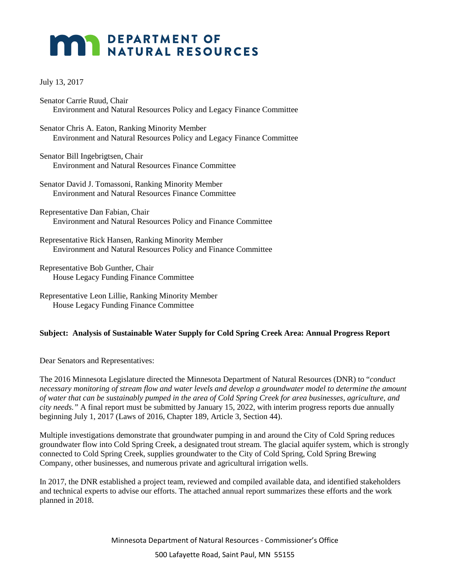## **MAR DEPARTMENT OF NATURAL RESOURCES**

## July 13, 2017

- Senator Carrie Ruud, Chair Environment and Natural Resources Policy and Legacy Finance Committee
- Senator Chris A. Eaton, Ranking Minority Member Environment and Natural Resources Policy and Legacy Finance Committee
- Senator Bill Ingebrigtsen, Chair Environment and Natural Resources Finance Committee
- Senator David J. Tomassoni, Ranking Minority Member Environment and Natural Resources Finance Committee
- Representative Dan Fabian, Chair Environment and Natural Resources Policy and Finance Committee
- Representative Rick Hansen, Ranking Minority Member Environment and Natural Resources Policy and Finance Committee
- Representative Bob Gunther, Chair House Legacy Funding Finance Committee
- Representative Leon Lillie, Ranking Minority Member House Legacy Funding Finance Committee

## **Subject: Analysis of Sustainable Water Supply for Cold Spring Creek Area: Annual Progress Report**

Dear Senators and Representatives:

The 2016 Minnesota Legislature directed the Minnesota Department of Natural Resources (DNR) to "*conduct*  necessary monitoring of stream flow and water levels and develop a groundwater model to determine the amount *of water that can be sustainably pumped in the area of Cold Spring Creek for area businesses, agriculture, and city needs."* A final report must be submitted by January 15, 2022, with interim progress reports due annually beginning July 1, 2017 (Laws of 2016, Chapter 189, Article 3, Section 44).

Multiple investigations demonstrate that groundwater pumping in and around the City of Cold Spring reduces groundwater flow into Cold Spring Creek, a designated trout stream. The glacial aquifer system, which is strongly connected to Cold Spring Creek, supplies groundwater to the City of Cold Spring, Cold Spring Brewing Company, other businesses, and numerous private and agricultural irrigation wells.

In 2017, the DNR established a project team, reviewed and compiled available data, and identified stakeholders and technical experts to advise our efforts. The attached annual report summarizes these efforts and the work planned in 2018.